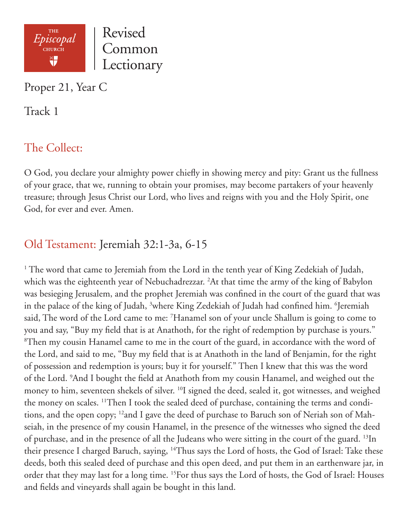

Proper 21, Year C

Track 1

# The Collect:

O God, you declare your almighty power chiefly in showing mercy and pity: Grant us the fullness of your grace, that we, running to obtain your promises, may become partakers of your heavenly treasure; through Jesus Christ our Lord, who lives and reigns with you and the Holy Spirit, one God, for ever and ever. Amen.

# Old Testament: Jeremiah 32:1-3a, 6-15

<sup>1</sup> The word that came to Jeremiah from the Lord in the tenth year of King Zedekiah of Judah, which was the eighteenth year of Nebuchadrezzar. 2 At that time the army of the king of Babylon was besieging Jerusalem, and the prophet Jeremiah was confined in the court of the guard that was in the palace of the king of Judah, <sup>3</sup>where King Zedekiah of Judah had confined him. <sup>6</sup>Jeremiah said, The word of the Lord came to me: 7 Hanamel son of your uncle Shallum is going to come to you and say, "Buy my field that is at Anathoth, for the right of redemption by purchase is yours." 8 Then my cousin Hanamel came to me in the court of the guard, in accordance with the word of the Lord, and said to me, "Buy my field that is at Anathoth in the land of Benjamin, for the right of possession and redemption is yours; buy it for yourself." Then I knew that this was the word of the Lord. 9 And I bought the field at Anathoth from my cousin Hanamel, and weighed out the money to him, seventeen shekels of silver. 10I signed the deed, sealed it, got witnesses, and weighed the money on scales. 11Then I took the sealed deed of purchase, containing the terms and conditions, and the open copy; 12and I gave the deed of purchase to Baruch son of Neriah son of Mahseiah, in the presence of my cousin Hanamel, in the presence of the witnesses who signed the deed of purchase, and in the presence of all the Judeans who were sitting in the court of the guard. 13In their presence I charged Baruch, saying, <sup>14</sup>Thus says the Lord of hosts, the God of Israel: Take these deeds, both this sealed deed of purchase and this open deed, and put them in an earthenware jar, in order that they may last for a long time. 15For thus says the Lord of hosts, the God of Israel: Houses and fields and vineyards shall again be bought in this land.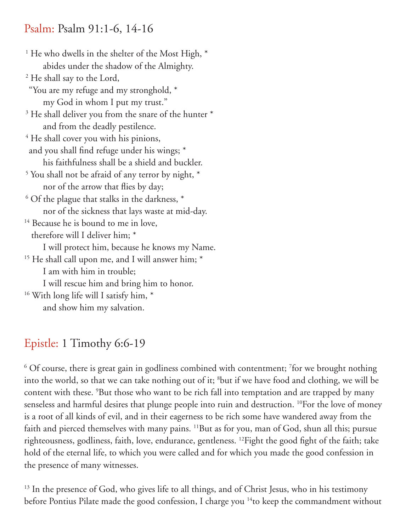### Psalm: Psalm 91:1-6, 14-16

<sup>1</sup> He who dwells in the shelter of the Most High,  $*$  abides under the shadow of the Almighty. 2 He shall say to the Lord, "You are my refuge and my stronghold, \* my God in whom I put my trust." <sup>3</sup> He shall deliver you from the snare of the hunter \* and from the deadly pestilence. <sup>4</sup> He shall cover you with his pinions, and you shall find refuge under his wings; \* his faithfulness shall be a shield and buckler. <sup>5</sup> You shall not be afraid of any terror by night,  $*$  nor of the arrow that flies by day;  $6$  Of the plague that stalks in the darkness,  $*$  nor of the sickness that lays waste at mid-day. <sup>14</sup> Because he is bound to me in love, therefore will I deliver him; \* I will protect him, because he knows my Name. <sup>15</sup> He shall call upon me, and I will answer him; \* I am with him in trouble; I will rescue him and bring him to honor. <sup>16</sup> With long life will I satisfy him, \* and show him my salvation.

## Epistle: 1 Timothy 6:6-19

 $6$  Of course, there is great gain in godliness combined with contentment; <sup>7</sup>for we brought nothing into the world, so that we can take nothing out of it; 8 but if we have food and clothing, we will be content with these. <sup>9</sup>But those who want to be rich fall into temptation and are trapped by many senseless and harmful desires that plunge people into ruin and destruction. <sup>10</sup>For the love of money is a root of all kinds of evil, and in their eagerness to be rich some have wandered away from the faith and pierced themselves with many pains. <sup>11</sup>But as for you, man of God, shun all this; pursue righteousness, godliness, faith, love, endurance, gentleness. 12Fight the good fight of the faith; take hold of the eternal life, to which you were called and for which you made the good confession in the presence of many witnesses.

<sup>13</sup> In the presence of God, who gives life to all things, and of Christ Jesus, who in his testimony before Pontius Pilate made the good confession, I charge you <sup>14</sup> to keep the commandment without